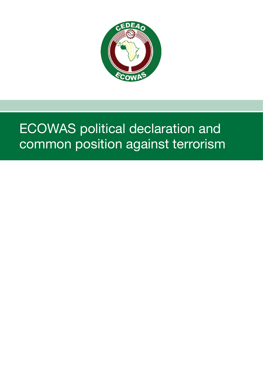

# ECOWAS political declaration and common position against terrorism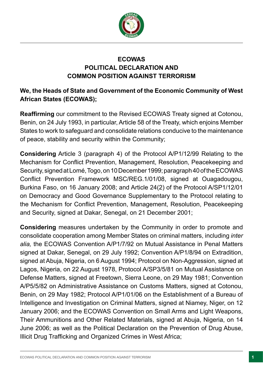

# **ECOWAS POLITICAL DECLARATION AND COMMON POSITION AGAINST TERRORISM**

# **We, the Heads of State and Government of the Economic Community of West African States (ECOWAS);**

**Reaffrming** our commitment to the Revised ECOWAS Treaty signed at Cotonou, Benin, on 24 July 1993, in particular, Article 58 of the Treaty, which enjoins Member States to work to safeguard and consolidate relations conducive to the maintenance of peace, stability and security within the Community;

**Considering** Article 3 (paragraph 4) of the Protocol A/P1/12/99 Relating to the Mechanism for Confict Prevention, Management, Resolution, Peacekeeping and Security, signed at Lomé, Togo, on 10 December 1999; paragraph 40 of the ECOWAS Confict Prevention Framework MSC/REG.1/01/08, signed at Ouagadougou, Burkina Faso, on 16 January 2008; and Article 24(2) of the Protocol A/SP1/12/01 on Democracy and Good Governance Supplementary to the Protocol relating to the Mechanism for Confict Prevention, Management, Resolution, Peacekeeping and Security, signed at Dakar, Senegal, on 21 December 2001;

**Considering** measures undertaken by the Community in order to promote and consolidate cooperation among Member States on criminal matters, including *inter alia,* the ECOWAS Convention A/P1/7/92 on Mutual Assistance in Penal Matters signed at Dakar, Senegal, on 29 July 1992; Convention A/P1/8/94 on Extradition, signed at Abuja, Nigeria, on 6 August 1994; Protocol on Non-Aggression, signed at Lagos, Nigeria, on 22 August 1978, Protocol A/SP3/5/81 on Mutual Assistance on Defense Matters, signed at Freetown, Sierra Leone, on 29 May 1981; Convention A/P5/5/82 on Administrative Assistance on Customs Matters, signed at Cotonou, Benin, on 29 May 1982; Protocol A/P1/01/06 on the Establishment of a Bureau of Intelligence and Investigation on Criminal Matters, signed at Niamey, Niger, on 12 January 2006; and the ECOWAS Convention on Small Arms and Light Weapons, Their Ammunitions and Other Related Materials, signed at Abuja, Nigeria, on 14 June 2006; as well as the Political Declaration on the Prevention of Drug Abuse, Illicit Drug Trafficking and Organized Crimes in West Africa;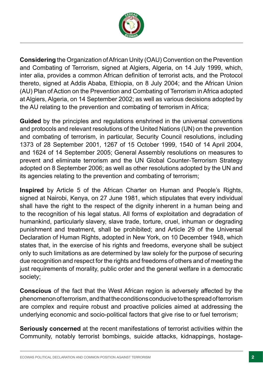

**Considering** the Organization of African Unity (OAU) Convention on the Prevention and Combating of Terrorism, signed at Algiers, Algeria, on 14 July 1999, which, inter alia, provides a common African defnition of terrorist acts, and the Protocol thereto, signed at Addis Ababa, Ethiopia, on 8 July 2004; and the African Union (AU) Plan of Action on the Prevention and Combating of Terrorism in Africa adopted at Algiers, Algeria, on 14 September 2002; as well as various decisions adopted by the AU relating to the prevention and combating of terrorism in Africa;

**Guided** by the principles and regulations enshrined in the universal conventions and protocols and relevant resolutions of the United Nations (UN) on the prevention and combating of terrorism, in particular, Security Council resolutions, including 1373 of 28 September 2001, 1267 of 15 October 1999, 1540 of 14 April 2004, and 1624 of 14 September 2005; General Assembly resolutions on measures to prevent and eliminate terrorism and the UN Global Counter-Terrorism Strategy adopted on 8 September 2006; as well as other resolutions adopted by the UN and its agencies relating to the prevention and combating of terrorism;

**Inspired** by Article 5 of the African Charter on Human and People's Rights, signed at Nairobi, Kenya, on 27 June 1981, which stipulates that every individual shall have the right to the respect of the dignity inherent in a human being and to the recognition of his legal status. All forms of exploitation and degradation of humankind, particularly slavery, slave trade, torture, cruel, inhuman or degrading punishment and treatment, shall be prohibited; and Article 29 of the Universal Declaration of Human Rights, adopted in New York, on 10 December 1948, which states that, in the exercise of his rights and freedoms, everyone shall be subject only to such limitations as are determined by law solely for the purpose of securing due recognition and respect for the rights and freedoms of others and of meeting the just requirements of morality, public order and the general welfare in a democratic society;

**Conscious** of the fact that the West African region is adversely affected by the phenomenon of terrorism, and that the conditions conducive to the spread of terrorism are complex and require robust and proactive policies aimed at addressing the underlying economic and socio-political factors that give rise to or fuel terrorism;

**Seriously concerned** at the recent manifestations of terrorist activities within the Community, notably terrorist bombings, suicide attacks, kidnappings, hostage-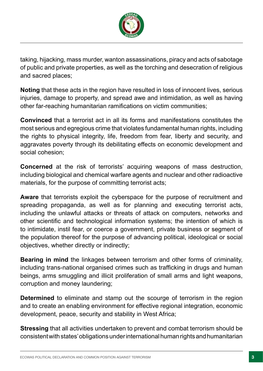

taking, hijacking, mass murder, wanton assassinations, piracy and acts of sabotage of public and private properties, as well as the torching and desecration of religious and sacred places;

**Noting** that these acts in the region have resulted in loss of innocent lives, serious injuries, damage to property, and spread awe and intimidation, as well as having other far-reaching humanitarian ramifcations on victim communities;

**Convinced** that a terrorist act in all its forms and manifestations constitutes the most serious and egregious crime that violates fundamental human rights, including the rights to physical integrity, life, freedom from fear, liberty and security, and aggravates poverty through its debilitating effects on economic development and social cohesion;

**Concerned** at the risk of terrorists' acquiring weapons of mass destruction, including biological and chemical warfare agents and nuclear and other radioactive materials, for the purpose of committing terrorist acts;

**Aware** that terrorists exploit the cyberspace for the purpose of recruitment and spreading propaganda, as well as for planning and executing terrorist acts, including the unlawful attacks or threats of attack on computers, networks and other scientifc and technological information systems; the intention of which is to intimidate, instil fear, or coerce a government, private business or segment of the population thereof for the purpose of advancing political, ideological or social objectives, whether directly or indirectly;

**Bearing in mind** the linkages between terrorism and other forms of criminality, including trans-national organised crimes such as trafficking in drugs and human beings, arms smuggling and illicit proliferation of small arms and light weapons, corruption and money laundering;

**Determined** to eliminate and stamp out the scourge of terrorism in the region and to create an enabling environment for effective regional integration, economic development, peace, security and stability in West Africa;

**Stressing** that all activities undertaken to prevent and combat terrorism should be consistent with states' obligations under international human rights and humanitarian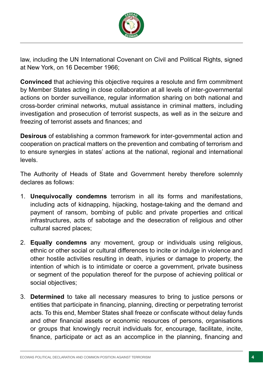

law, including the UN International Covenant on Civil and Political Rights, signed at New York, on 16 December 1966;

**Convinced** that achieving this objective requires a resolute and firm commitment by Member States acting in close collaboration at all levels of inter-governmental actions on border surveillance, regular information sharing on both national and cross-border criminal networks, mutual assistance in criminal matters, including investigation and prosecution of terrorist suspects, as well as in the seizure and freezing of terrorist assets and fnances; and

**Desirous** of establishing a common framework for inter-governmental action and cooperation on practical matters on the prevention and combating of terrorism and to ensure synergies in states' actions at the national, regional and international levels.

The Authority of Heads of State and Government hereby therefore solemnly declares as follows:

- 1. **Unequivocally condemns** terrorism in all its forms and manifestations, including acts of kidnapping, hijacking, hostage-taking and the demand and payment of ransom, bombing of public and private properties and critical infrastructures, acts of sabotage and the desecration of religious and other cultural sacred places;
- 2. **Equally condemns** any movement, group or individuals using religious, ethnic or other social or cultural differences to incite or indulge in violence and other hostile activities resulting in death, injuries or damage to property, the intention of which is to intimidate or coerce a government, private business or segment of the population thereof for the purpose of achieving political or social objectives;
- 3. **Determined** to take all necessary measures to bring to justice persons or entities that participate in fnancing, planning, directing or perpetrating terrorist acts. To this end, Member States shall freeze or confscate without delay funds and other fnancial assets or economic resources of persons, organisations or groups that knowingly recruit individuals for, encourage, facilitate, incite, fnance, participate or act as an accomplice in the planning, fnancing and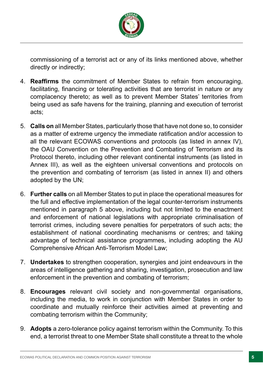

commissioning of a terrorist act or any of its links mentioned above, whether directly or indirectly;

- 4. **Reaffrms** the commitment of Member States to refrain from encouraging, facilitating, fnancing or tolerating activities that are terrorist in nature or any complacency thereto; as well as to prevent Member States' territories from being used as safe havens for the training, planning and execution of terrorist acts;
- 5. **Calls on** all Member States, particularly those that have not done so, to consider as a matter of extreme urgency the immediate ratification and/or accession to all the relevant ECOWAS conventions and protocols (as listed in annex IV), the OAU Convention on the Prevention and Combating of Terrorism and its Protocol thereto, including other relevant continental instruments (as listed in Annex III), as well as the eighteen universal conventions and protocols on the prevention and combating of terrorism (as listed in annex II) and others adopted by the UN;
- 6. **Further calls** on all Member States to put in place the operational measures for the full and effective implementation of the legal counter-terrorism instruments mentioned in paragraph 5 above, including but not limited to the enactment and enforcement of national legislations with appropriate criminalisation of terrorist crimes, including severe penalties for perpetrators of such acts; the establishment of national coordinating mechanisms or centres; and taking advantage of technical assistance programmes, including adopting the AU Comprehensive African Anti-Terrorism Model Law;
- 7. **Undertakes** to strengthen cooperation, synergies and joint endeavours in the areas of intelligence gathering and sharing, investigation, prosecution and law enforcement in the prevention and combating of terrorism;
- 8. **Encourages** relevant civil society and non-governmental organisations, including the media, to work in conjunction with Member States in order to coordinate and mutually reinforce their activities aimed at preventing and combating terrorism within the Community;
- 9. **Adopts** a zero-tolerance policy against terrorism within the Community. To this end, a terrorist threat to one Member State shall constitute a threat to the whole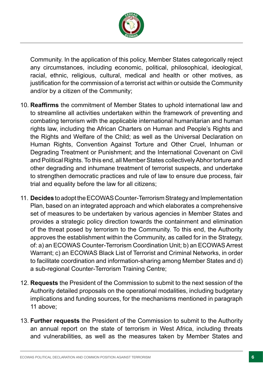

Community. In the application of this policy, Member States categorically reject any circumstances, including economic, political, philosophical, ideological, racial, ethnic, religious, cultural, medical and health or other motives, as justifcation for the commission of a terrorist act within or outside the Community and/or by a citizen of the Community;

- 10. **Reaffrms** the commitment of Member States to uphold international law and to streamline all activities undertaken within the framework of preventing and combating terrorism with the applicable international humanitarian and human rights law, including the African Charters on Human and People's Rights and the Rights and Welfare of the Child; as well as the Universal Declaration on Human Rights, Convention Against Torture and Other Cruel, Inhuman or Degrading Treatment or Punishment; and the International Covenant on Civil and Political Rights. To this end, all Member States collectively Abhor torture and other degrading and inhumane treatment of terrorist suspects, and undertake to strengthen democratic practices and rule of law to ensure due process, fair trial and equality before the law for all citizens;
- 11. **Decides** to adopt the ECOWAS Counter-Terrorism Strategy and Implementation Plan, based on an integrated approach and which elaborates a comprehensive set of measures to be undertaken by various agencies in Member States and provides a strategic policy direction towards the containment and elimination of the threat posed by terrorism to the Community. To this end, the Authority approves the establishment within the Community, as called for in the Strategy, of: a) an ECOWAS Counter-Terrorism Coordination Unit; b) an ECOWAS Arrest Warrant; c) an ECOWAS Black List of Terrorist and Criminal Networks, in order to facilitate coordination and information-sharing among Member States and d) a sub-regional Counter-Terrorism Training Centre;
- 12. **Requests** the President of the Commission to submit to the next session of the Authority detailed proposals on the operational modalities, including budgetary implications and funding sources, for the mechanisms mentioned in paragraph 11 above;
- 13. **Further requests** the President of the Commission to submit to the Authority an annual report on the state of terrorism in West Africa, including threats and vulnerabilities, as well as the measures taken by Member States and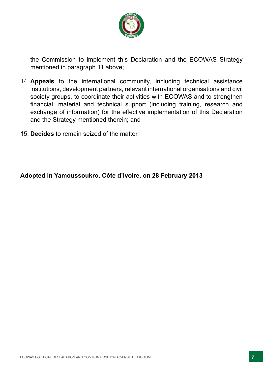

the Commission to implement this Declaration and the ECOWAS Strategy mentioned in paragraph 11 above;

- 14. **Appeals** to the international community, including technical assistance institutions, development partners, relevant international organisations and civil society groups, to coordinate their activities with ECOWAS and to strengthen fnancial, material and technical support (including training, research and exchange of information) for the effective implementation of this Declaration and the Strategy mentioned therein; and
- 15. **Decides** to remain seized of the matter.

**Adopted in Yamoussoukro, Côte d'Ivoire, on 28 February 2013**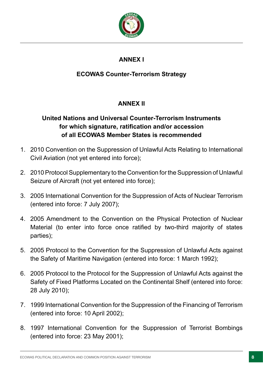

# **ANNEX I**

# **ECOWAS Counter-Terrorism Strategy**

# **ANNEX II**

# **United Nations and Universal Counter-Terrorism Instruments for which signature, ratifcation and/or accession of all ECOWAS Member States is recommended**

- 1. 2010 Convention on the Suppression of Unlawful Acts Relating to International Civil Aviation (not yet entered into force);
- 2. 2010 Protocol Supplementary to the Convention for the Suppression of Unlawful Seizure of Aircraft (not yet entered into force);
- 3. 2005 International Convention for the Suppression of Acts of Nuclear Terrorism (entered into force: 7 July 2007);
- 4. 2005 Amendment to the Convention on the Physical Protection of Nuclear Material (to enter into force once ratifed by two-third majority of states parties);
- 5. 2005 Protocol to the Convention for the Suppression of Unlawful Acts against the Safety of Maritime Navigation (entered into force: 1 March 1992);
- 6. 2005 Protocol to the Protocol for the Suppression of Unlawful Acts against the Safety of Fixed Platforms Located on the Continental Shelf (entered into force: 28 July 2010);
- 7. 1999 International Convention for the Suppression of the Financing of Terrorism (entered into force: 10 April 2002);
- 8. 1997 International Convention for the Suppression of Terrorist Bombings (entered into force: 23 May 2001);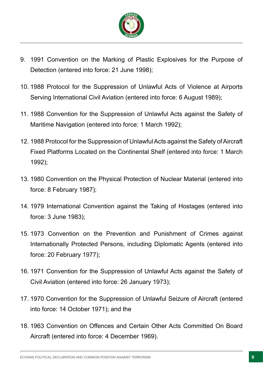

- 9. 1991 Convention on the Marking of Plastic Explosives for the Purpose of Detection (entered into force: 21 June 1998);
- 10. 1988 Protocol for the Suppression of Unlawful Acts of Violence at Airports Serving International Civil Aviation (entered into force: 6 August 1989);
- 11. 1988 Convention for the Suppression of Unlawful Acts against the Safety of Maritime Navigation (entered into force: 1 March 1992);
- 12. 1988 Protocol for the Suppression of Unlawful Acts against the Safety of Aircraft Fixed Platforms Located on the Continental Shelf (entered into force: 1 March 1992);
- 13. 1980 Convention on the Physical Protection of Nuclear Material (entered into force: 8 February 1987);
- 14. 1979 International Convention against the Taking of Hostages (entered into force: 3 June 1983);
- 15. 1973 Convention on the Prevention and Punishment of Crimes against Internationally Protected Persons, including Diplomatic Agents (entered into force: 20 February 1977);
- 16. 1971 Convention for the Suppression of Unlawful Acts against the Safety of Civil Aviation (entered into force: 26 January 1973);
- 17. 1970 Convention for the Suppression of Unlawful Seizure of Aircraft (entered into force: 14 October 1971); and the
- 18. 1963 Convention on Offences and Certain Other Acts Committed On Board Aircraft (entered into force: 4 December 1969).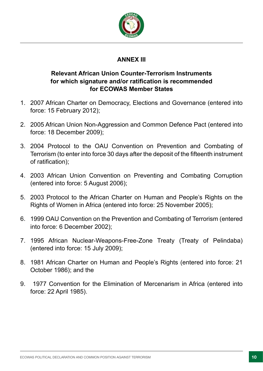

# **ANNEX III**

# **Relevant African Union Counter-Terrorism Instruments for which signature and/or ratifcation is recommended for ECOWAS Member States**

- 1. 2007 African Charter on Democracy, Elections and Governance (entered into force: 15 February 2012);
- 2. 2005 African Union Non-Aggression and Common Defence Pact (entered into force: 18 December 2009);
- 3. 2004 Protocol to the OAU Convention on Prevention and Combating of Terrorism (to enter into force 30 days after the deposit of the ffteenth instrument of ratification):
- 4. 2003 African Union Convention on Preventing and Combating Corruption (entered into force: 5 August 2006);
- 5. 2003 Protocol to the African Charter on Human and People's Rights on the Rights of Women in Africa (entered into force: 25 November 2005);
- 6. 1999 OAU Convention on the Prevention and Combating of Terrorism (entered into force: 6 December 2002);
- 7. 1995 African Nuclear-Weapons-Free-Zone Treaty (Treaty of Pelindaba) (entered into force: 15 July 2009);
- 8. 1981 African Charter on Human and People's Rights (entered into force: 21 October 1986); and the
- 9. 1977 Convention for the Elimination of Mercenarism in Africa (entered into force: 22 April 1985).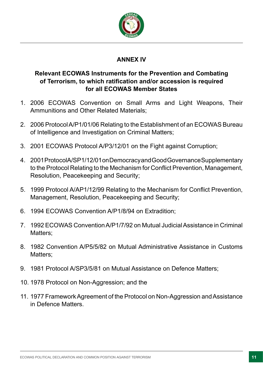

## **ANNEX IV**

# **Relevant ECOWAS Instruments for the Prevention and Combating of Terrorism, to which ratifcation and/or accession is required for all ECOWAS Member States**

- 1. 2006 ECOWAS Convention on Small Arms and Light Weapons, Their Ammunitions and Other Related Materials;
- 2. 2006 Protocol A/P1/01/06 Relating to the Establishment of an ECOWAS Bureau of Intelligence and Investigation on Criminal Matters;
- 3. 2001 ECOWAS Protocol A/P3/12/01 on the Fight against Corruption;
- 4. 2001 Protocol A/SP1/12/01 on Democracy and Good Governance Supplementary to the Protocol Relating to the Mechanism for Confict Prevention, Management, Resolution, Peacekeeping and Security;
- 5. 1999 Protocol A/AP1/12/99 Relating to the Mechanism for Confict Prevention, Management, Resolution, Peacekeeping and Security;
- 6. 1994 ECOWAS Convention A/P1/8/94 on Extradition;
- 7. 1992 ECOWAS Convention A/P1/7/92 on Mutual Judicial Assistance in Criminal Matters;
- 8. 1982 Convention A/P5/5/82 on Mutual Administrative Assistance in Customs Matters;
- 9. 1981 Protocol A/SP3/5/81 on Mutual Assistance on Defence Matters;
- 10. 1978 Protocol on Non-Aggression; and the
- 11. 1977 Framework Agreement of the Protocol on Non-Aggression and Assistance in Defence Matters.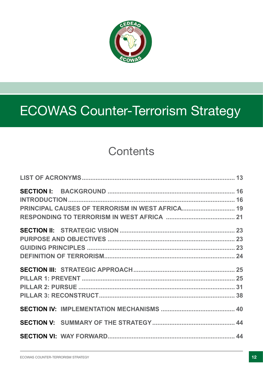

# ECOWAS Counter-Terrorism Strategy

# **Contents**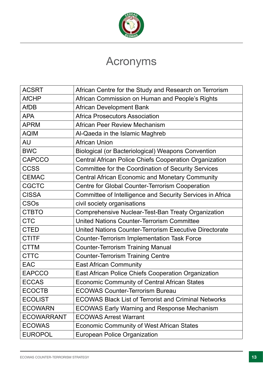

# Acronyms

| <b>ACSRT</b>      | African Centre for the Study and Research on Terrorism        |
|-------------------|---------------------------------------------------------------|
| <b>AfCHP</b>      | African Commission on Human and People's Rights               |
| <b>AfDB</b>       | <b>African Development Bank</b>                               |
| <b>APA</b>        | <b>Africa Prosecutors Association</b>                         |
| <b>APRM</b>       | African Peer Review Mechanism                                 |
| <b>AQIM</b>       | Al-Qaeda in the Islamic Maghreb                               |
| <b>AU</b>         | <b>African Union</b>                                          |
| <b>BWC</b>        | Biological (or Bacteriological) Weapons Convention            |
| <b>CAPCCO</b>     | <b>Central African Police Chiefs Cooperation Organization</b> |
| <b>CCSS</b>       | <b>Committee for the Coordination of Security Services</b>    |
| <b>CEMAC</b>      | <b>Central African Economic and Monetary Community</b>        |
| <b>CGCTC</b>      | Centre for Global Counter-Terrorism Cooperation               |
| <b>CISSA</b>      | Committee of Intelligence and Security Services in Africa     |
| <b>CSOs</b>       | civil society organisations                                   |
| <b>CTBTO</b>      | Comprehensive Nuclear-Test-Ban Treaty Organization            |
| <b>CTC</b>        | <b>United Nations Counter-Terrorism Committee</b>             |
| <b>CTED</b>       | United Nations Counter-Terrorism Executive Directorate        |
| <b>CTITF</b>      | <b>Counter-Terrorism Implementation Task Force</b>            |
| <b>CTTM</b>       | <b>Counter-Terrorism Training Manual</b>                      |
| <b>CTTC</b>       | <b>Counter-Terrorism Training Centre</b>                      |
| <b>EAC</b>        | <b>East African Community</b>                                 |
| <b>EAPCCO</b>     | East African Police Chiefs Cooperation Organization           |
| <b>ECCAS</b>      | <b>Economic Community of Central African States</b>           |
| <b>ECOCTB</b>     | <b>ECOWAS Counter-Terrorism Bureau</b>                        |
| <b>ECOLIST</b>    | <b>ECOWAS Black List of Terrorist and Criminal Networks</b>   |
| <b>ECOWARN</b>    | <b>ECOWAS Early Warning and Response Mechanism</b>            |
| <b>ECOWARRANT</b> | <b>ECOWAS Arrest Warrant</b>                                  |
| <b>ECOWAS</b>     | <b>Economic Community of West African States</b>              |
| <b>EUROPOL</b>    | <b>European Police Organization</b>                           |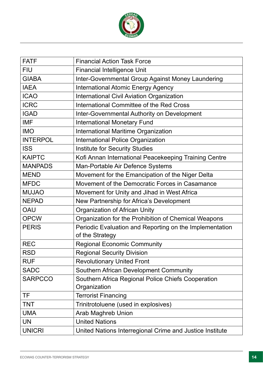

| <b>FATF</b>     | <b>Financial Action Task Force</b>                                         |
|-----------------|----------------------------------------------------------------------------|
| <b>FIU</b>      | <b>Financial Intelligence Unit</b>                                         |
| <b>GIABA</b>    | Inter-Governmental Group Against Money Laundering                          |
| <b>IAEA</b>     | <b>International Atomic Energy Agency</b>                                  |
| <b>ICAO</b>     | <b>International Civil Aviation Organization</b>                           |
| <b>ICRC</b>     | International Committee of the Red Cross                                   |
| <b>IGAD</b>     | Inter-Governmental Authority on Development                                |
| <b>IMF</b>      | <b>International Monetary Fund</b>                                         |
| <b>IMO</b>      | International Maritime Organization                                        |
| <b>INTERPOL</b> | <b>International Police Organization</b>                                   |
| <b>ISS</b>      | <b>Institute for Security Studies</b>                                      |
| <b>KAIPTC</b>   | Kofi Annan International Peacekeeping Training Centre                      |
| <b>MANPADS</b>  | Man-Portable Air Defence Systems                                           |
| <b>MEND</b>     | Movement for the Emancipation of the Niger Delta                           |
| <b>MFDC</b>     | Movement of the Democratic Forces in Casamance                             |
| <b>MUJAO</b>    | Movement for Unity and Jihad in West Africa                                |
| <b>NEPAD</b>    | New Partnership for Africa's Development                                   |
| <b>OAU</b>      | Organization of African Unity                                              |
| <b>OPCW</b>     | Organization for the Prohibition of Chemical Weapons                       |
| <b>PERIS</b>    | Periodic Evaluation and Reporting on the Implementation<br>of the Strategy |
| <b>REC</b>      | <b>Regional Economic Community</b>                                         |
| <b>RSD</b>      | <b>Regional Security Division</b>                                          |
| <b>RUF</b>      | <b>Revolutionary United Front</b>                                          |
| <b>SADC</b>     | Southern African Development Community                                     |
| <b>SARPCCO</b>  | Southern Africa Regional Police Chiefs Cooperation<br>Organization         |
| TF              | <b>Terrorist Financing</b>                                                 |
| <b>TNT</b>      | Trinitrotoluene (used in explosives)                                       |
| <b>UMA</b>      | <b>Arab Maghreb Union</b>                                                  |
| <b>UN</b>       | <b>United Nations</b>                                                      |
| <b>UNICRI</b>   | United Nations Interregional Crime and Justice Institute                   |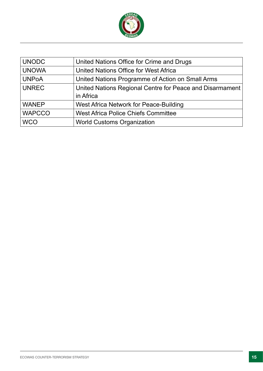

| <b>UNODC</b>  | United Nations Office for Crime and Drugs                |
|---------------|----------------------------------------------------------|
| <b>UNOWA</b>  | United Nations Office for West Africa                    |
| <b>UNPoA</b>  | United Nations Programme of Action on Small Arms         |
| <b>UNREC</b>  | United Nations Regional Centre for Peace and Disarmament |
|               | in Africa                                                |
| <b>WANEP</b>  | West Africa Network for Peace-Building                   |
| <b>WAPCCO</b> | <b>West Africa Police Chiefs Committee</b>               |
| <b>WCO</b>    | <b>World Customs Organization</b>                        |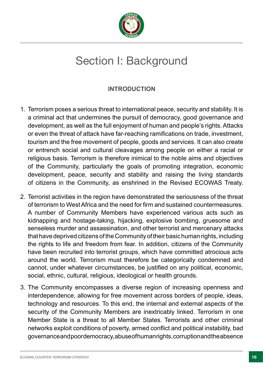

# Section I: Background

# **INTRODUCTION**

- 1. Terrorism poses a serious threat to international peace, security and stability. It is a criminal act that undermines the pursuit of democracy, good governance and development, as well as the full enjoyment of human and people's rights. Attacks or even the threat of attack have far-reaching ramifications on trade, investment, tourism and the free movement of people, goods and services. It can also create or entrench social and cultural cleavages among people on either a racial or religious basis. Terrorism is therefore inimical to the noble aims and objectives of the Community, particularly the goals of promoting integration, economic development, peace, security and stability and raising the living standards of citizens in the Community, as enshrined in the Revised ECOWAS Treaty.
- 2. Terrorist activities in the region have demonstrated the seriousness of the threat of terrorism to West Africa and the need for frm and sustained countermeasures. A number of Community Members have experienced various acts such as kidnapping and hostage-taking, hijacking, explosive bombing, gruesome and senseless murder and assassination, and other terrorist and mercenary attacks that have deprived citizens of the Community of their basic human rights, including the rights to life and freedom from fear. In addition, citizens of the Community have been recruited into terrorist groups, which have committed atrocious acts around the world. Terrorism must therefore be categorically condemned and cannot, under whatever circumstances, be justifed on any political, economic, social, ethnic, cultural, religious, ideological or health grounds.
- 3. The Community encompasses a diverse region of increasing openness and interdependence, allowing for free movement across borders of people, ideas, technology and resources. To this end, the internal and external aspects of the security of the Community Members are inextricably linked. Terrorism in one Member State is a threat to all Member States. Terrorists and other criminal networks exploit conditions of poverty, armed confict and political instability, bad governance and poor democracy, abuse of human rights, corruption and the absence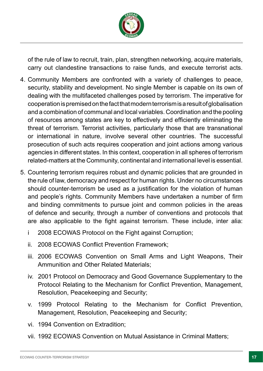

of the rule of law to recruit, train, plan, strengthen networking, acquire materials, carry out clandestine transactions to raise funds, and execute terrorist acts.

- 4. Community Members are confronted with a variety of challenges to peace, security, stability and development. No single Member is capable on its own of dealing with the multifaceted challenges posed by terrorism. The imperative for cooperation is premised on the fact that modern terrorism is a result of globalisation and a combination of communal and local variables. Coordination and the pooling of resources among states are key to effectively and efficiently eliminating the threat of terrorism. Terrorist activities, particularly those that are transnational or international in nature, involve several other countries. The successful prosecution of such acts requires cooperation and joint actions among various agencies in different states. In this context, cooperation in all spheres of terrorism related-matters at the Community, continental and international level is essential.
- 5. Countering terrorism requires robust and dynamic policies that are grounded in the rule of law, democracy and respect for human rights. Under no circumstances should counter-terrorism be used as a justification for the violation of human and people's rights. Community Members have undertaken a number of frm and binding commitments to pursue joint and common policies in the areas of defence and security, through a number of conventions and protocols that are also applicable to the fight against terrorism. These include, inter alia:
	- i 2008 ECOWAS Protocol on the Fight against Corruption;
	- ii. 2008 ECOWAS Confict Prevention Framework;
	- iii. 2006 ECOWAS Convention on Small Arms and Light Weapons, Their Ammunition and Other Related Materials;
	- iv. 2001 Protocol on Democracy and Good Governance Supplementary to the Protocol Relating to the Mechanism for Confict Prevention, Management, Resolution, Peacekeeping and Security;
	- v. 1999 Protocol Relating to the Mechanism for Confict Prevention, Management, Resolution, Peacekeeping and Security;
	- vi. 1994 Convention on Extradition;
	- vii. 1992 ECOWAS Convention on Mutual Assistance in Criminal Matters;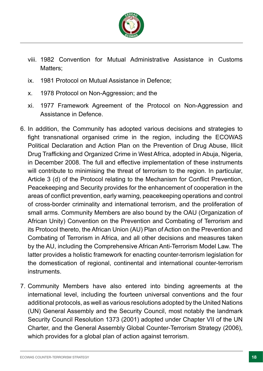

- viii. 1982 Convention for Mutual Administrative Assistance in Customs Matters:
- ix. 1981 Protocol on Mutual Assistance in Defence;
- x. 1978 Protocol on Non-Aggression; and the
- xi. 1977 Framework Agreement of the Protocol on Non-Aggression and Assistance in Defence.
- 6. In addition, the Community has adopted various decisions and strategies to fght transnational organised crime in the region, including the ECOWAS Political Declaration and Action Plan on the Prevention of Drug Abuse, Illicit Drug Trafficking and Organized Crime in West Africa, adopted in Abuja, Nigeria, in December 2008. The full and effective implementation of these instruments will contribute to minimising the threat of terrorism to the region. In particular, Article 3 (d) of the Protocol relating to the Mechanism for Confict Prevention, Peacekeeping and Security provides for the enhancement of cooperation in the areas of confict prevention, early warning, peacekeeping operations and control of cross-border criminality and international terrorism, and the proliferation of small arms. Community Members are also bound by the OAU (Organization of African Unity) Convention on the Prevention and Combating of Terrorism and its Protocol thereto, the African Union (AU) Plan of Action on the Prevention and Combating of Terrorism in Africa, and all other decisions and measures taken by the AU, including the Comprehensive African Anti-Terrorism Model Law. The latter provides a holistic framework for enacting counter-terrorism legislation for the domestication of regional, continental and international counter-terrorism instruments.
- 7. Community Members have also entered into binding agreements at the international level, including the fourteen universal conventions and the four additional protocols, as well as various resolutions adopted by the United Nations (UN) General Assembly and the Security Council, most notably the landmark Security Council Resolution 1373 (2001) adopted under Chapter VII of the UN Charter, and the General Assembly Global Counter-Terrorism Strategy (2006), which provides for a global plan of action against terrorism.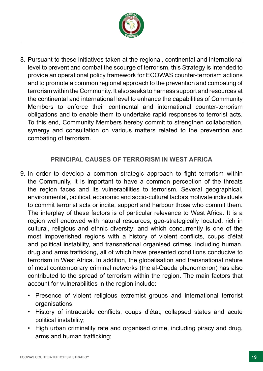

8. Pursuant to these initiatives taken at the regional, continental and international level to prevent and combat the scourge of terrorism, this Strategy is intended to provide an operational policy framework for ECOWAS counter-terrorism actions and to promote a common regional approach to the prevention and combating of terrorism within the Community. It also seeks to harness support and resources at the continental and international level to enhance the capabilities of Community Members to enforce their continental and international counter-terrorism obligations and to enable them to undertake rapid responses to terrorist acts. To this end, Community Members hereby commit to strengthen collaboration, synergy and consultation on various matters related to the prevention and combating of terrorism.

### **PRINCIPAL CAUSES OF TERRORISM IN WEST AFRICA**

- 9. In order to develop a common strategic approach to fght terrorism within the Community, it is important to have a common perception of the threats the region faces and its vulnerabilities to terrorism. Several geographical, environmental, political, economic and socio-cultural factors motivate individuals to commit terrorist acts or incite, support and harbour those who commit them. The interplay of these factors is of particular relevance to West Africa. It is a region well endowed with natural resources, geo-strategically located, rich in cultural, religious and ethnic diversity; and which concurrently is one of the most impoverished regions with a history of violent conficts, coups d'état and political instability, and transnational organised crimes, including human, drug and arms trafficking, all of which have presented conditions conducive to terrorism in West Africa. In addition, the globalisation and transnational nature of most contemporary criminal networks (the al-Qaeda phenomenon) has also contributed to the spread of terrorism within the region. The main factors that account for vulnerabilities in the region include:
	- Presence of violent religious extremist groups and international terrorist organisations;
	- History of intractable conficts, coups d'état, collapsed states and acute political instability;
	- High urban criminality rate and organised crime, including piracy and drug, arms and human trafficking;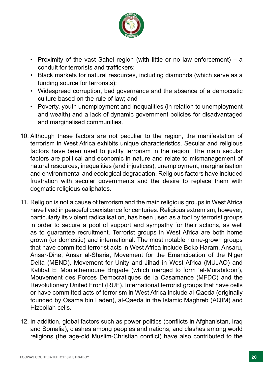

- Proximity of the vast Sahel region (with little or no law enforcement) a conduit for terrorists and traffickers:
- Black markets for natural resources, including diamonds (which serve as a funding source for terrorists);
- Widespread corruption, bad governance and the absence of a democratic culture based on the rule of law; and
- Poverty, youth unemployment and inequalities (in relation to unemployment and wealth) and a lack of dynamic government policies for disadvantaged and marginalised communities.
- 10. Although these factors are not peculiar to the region, the manifestation of terrorism in West Africa exhibits unique characteristics. Secular and religious factors have been used to justify terrorism in the region. The main secular factors are political and economic in nature and relate to mismanagement of natural resources, inequalities (and injustices), unemployment, marginalisation and environmental and ecological degradation. Religious factors have included frustration with secular governments and the desire to replace them with dogmatic religious caliphates.
- 11. Religion is not a cause of terrorism and the main religious groups in West Africa have lived in peaceful coexistence for centuries. Religious extremism, however, particularly its violent radicalisation, has been used as a tool by terrorist groups in order to secure a pool of support and sympathy for their actions, as well as to guarantee recruitment. Terrorist groups in West Africa are both home grown (or domestic) and international. The most notable home-grown groups that have committed terrorist acts in West Africa include Boko Haram, Ansaru, Ansar-Dine, Ansar al-Sharia, Movement for the Emancipation of the Niger Delta (MEND), Movement for Unity and Jihad in West Africa (MUJAO) and Katibat El Moulethemoune Brigade (which merged to form 'al-Murabitoon'), Mouvement des Forces Democratiques de la Casamance (MFDC) and the Revolutionary United Front (RUF). International terrorist groups that have cells or have committed acts of terrorism in West Africa include al-Qaeda (originally founded by Osama bin Laden), al-Qaeda in the Islamic Maghreb (AQIM) and Hizbollah cells.
- 12. In addition, global factors such as power politics (conficts in Afghanistan, Iraq and Somalia), clashes among peoples and nations, and clashes among world religions (the age-old Muslim-Christian confict) have also contributed to the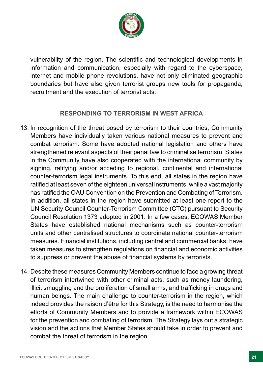

vulnerability of the region. The scientifc and technological developments in information and communication, especially with regard to the cyberspace, internet and mobile phone revolutions, have not only eliminated geographic boundaries but have also given terrorist groups new tools for propaganda, recruitment and the execution of terrorist acts.

# **RESPONDING TO TERRORISM IN WEST AFRICA**

- 13. In recognition of the threat posed by terrorism to their countries, Community Members have individually taken various national measures to prevent and combat terrorism. Some have adopted national legislation and others have strengthened relevant aspects of their penal law to criminalise terrorism. States in the Community have also cooperated with the international community by signing, ratifying and/or acceding to regional, continental and international counter-terrorism legal instruments. To this end, all states in the region have ratifed at least seven of the eighteen universal instruments, while a vast majority has ratifed the OAU Convention on the Prevention and Combating of Terrorism. In addition, all states in the region have submitted at least one report to the UN Security Council Counter-Terrorism Committee (CTC) pursuant to Security Council Resolution 1373 adopted in 2001. In a few cases, ECOWAS Member States have established national mechanisms such as counter-terrorism units and other centralised structures to coordinate national counter-terrorism measures. Financial institutions, including central and commercial banks, have taken measures to strengthen regulations on fnancial and economic activities to suppress or prevent the abuse of fnancial systems by terrorists.
- 14. Despite these measures Community Members continue to face a growing threat of terrorism intertwined with other criminal acts, such as money laundering, illicit smuggling and the proliferation of small arms, and trafficking in drugs and human beings. The main challenge to counter-terrorism in the region, which indeed provides the raison d'être for this Strategy, is the need to harmonise the efforts of Community Members and to provide a framework within ECOWAS for the prevention and combating of terrorism. The Strategy lays out a strategic vision and the actions that Member States should take in order to prevent and combat the threat of terrorism in the region.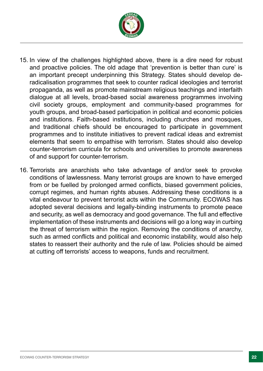

- 15. In view of the challenges highlighted above, there is a dire need for robust and proactive policies. The old adage that 'prevention is better than cure' is an important precept underpinning this Strategy. States should develop deradicalisation programmes that seek to counter radical ideologies and terrorist propaganda, as well as promote mainstream religious teachings and interfaith dialogue at all levels, broad-based social awareness programmes involving civil society groups, employment and community-based programmes for youth groups, and broad-based participation in political and economic policies and institutions. Faith-based institutions, including churches and mosques, and traditional chiefs should be encouraged to participate in government programmes and to institute initiatives to prevent radical ideas and extremist elements that seem to empathise with terrorism. States should also develop counter-terrorism curricula for schools and universities to promote awareness of and support for counter-terrorism.
- 16. Terrorists are anarchists who take advantage of and/or seek to provoke conditions of lawlessness. Many terrorist groups are known to have emerged from or be fuelled by prolonged armed conficts, biased government policies, corrupt regimes, and human rights abuses. Addressing these conditions is a vital endeavour to prevent terrorist acts within the Community. ECOWAS has adopted several decisions and legally-binding instruments to promote peace and security, as well as democracy and good governance. The full and effective implementation of these instruments and decisions will go a long way in curbing the threat of terrorism within the region. Removing the conditions of anarchy, such as armed conficts and political and economic instability, would also help states to reassert their authority and the rule of law. Policies should be aimed at cutting off terrorists' access to weapons, funds and recruitment.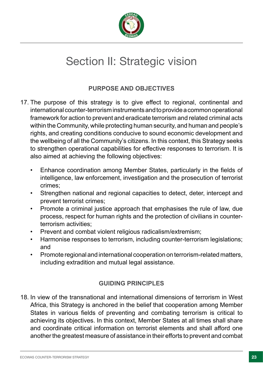

# Section II: Strategic vision

# **PURPOSE AND OBJECTIVES**

- 17. The purpose of this strategy is to give effect to regional, continental and international counter-terrorism instruments and to provide a common operational framework for action to prevent and eradicate terrorism and related criminal acts within the Community, while protecting human security, and human and people's rights, and creating conditions conducive to sound economic development and the wellbeing of all the Community's citizens. In this context, this Strategy seeks to strengthen operational capabilities for effective responses to terrorism. It is also aimed at achieving the following objectives:
	- Enhance coordination among Member States, particularly in the felds of intelligence, law enforcement, investigation and the prosecution of terrorist crimes;
	- Strengthen national and regional capacities to detect, deter, intercept and prevent terrorist crimes;
	- Promote a criminal justice approach that emphasises the rule of law, due process, respect for human rights and the protection of civilians in counterterrorism activities;
	- Prevent and combat violent religious radicalism/extremism;
	- Harmonise responses to terrorism, including counter-terrorism legislations; and
	- Promote regional and international cooperation on terrorism-related matters, including extradition and mutual legal assistance.

# **GUIDING PRINCIPLES**

18. In view of the transnational and international dimensions of terrorism in West Africa, this Strategy is anchored in the belief that cooperation among Member States in various fields of preventing and combating terrorism is critical to achieving its objectives. In this context, Member States at all times shall share and coordinate critical information on terrorist elements and shall afford one another the greatest measure of assistance in their efforts to prevent and combat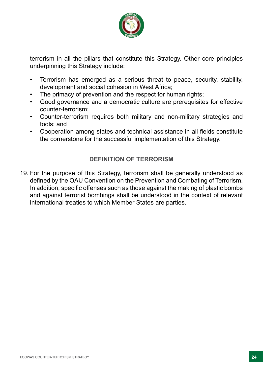

terrorism in all the pillars that constitute this Strategy. Other core principles underpinning this Strategy include:

- Terrorism has emerged as a serious threat to peace, security, stability, development and social cohesion in West Africa;
- The primacy of prevention and the respect for human rights;
- Good governance and a democratic culture are prerequisites for effective counter-terrorism;
- Counter-terrorism requires both military and non-military strategies and tools; and
- Cooperation among states and technical assistance in all felds constitute the cornerstone for the successful implementation of this Strategy.

# **DEFINITION OF TERRORISM**

19. For the purpose of this Strategy, terrorism shall be generally understood as defned by the OAU Convention on the Prevention and Combating of Terrorism. In addition, specific offenses such as those against the making of plastic bombs and against terrorist bombings shall be understood in the context of relevant international treaties to which Member States are parties.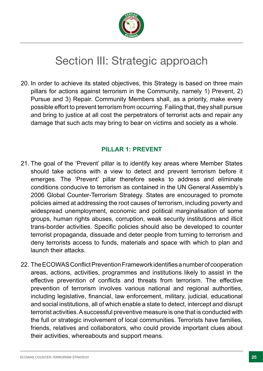

# Section III: Strategic approach

20. In order to achieve its stated objectives, this Strategy is based on three main pillars for actions against terrorism in the Community, namely 1) Prevent, 2) Pursue and 3) Repair. Community Members shall, as a priority, make every possible effort to prevent terrorism from occurring. Failing that, they shall pursue and bring to justice at all cost the perpetrators of terrorist acts and repair any damage that such acts may bring to bear on victims and society as a whole.

### **PILLAR 1: PREVENT**

- 21. The goal of the 'Prevent' pillar is to identify key areas where Member States should take actions with a view to detect and prevent terrorism before it emerges. The 'Prevent' pillar therefore seeks to address and eliminate conditions conducive to terrorism as contained in the UN General Assembly's 2006 Global Counter-Terrorism Strategy. States are encouraged to promote policies aimed at addressing the root causes of terrorism, including poverty and widespread unemployment, economic and political marginalisation of some groups, human rights abuses, corruption, weak security institutions and illicit trans-border activities. Specifc policies should also be developed to counter terrorist propaganda, dissuade and deter people from turning to terrorism and deny terrorists access to funds, materials and space with which to plan and launch their attacks.
- 22. The ECOWAS Confict Prevention Framework identifes a number of cooperation areas, actions, activities, programmes and institutions likely to assist in the effective prevention of conficts and threats from terrorism. The effective prevention of terrorism involves various national and regional authorities, including legislative, fnancial, law enforcement, military, judicial, educational and social institutions, all of which enable a state to detect, intercept and disrupt terrorist activities. A successful preventive measure is one that is conducted with the full or strategic involvement of local communities. Terrorists have families, friends, relatives and collaborators, who could provide important clues about their activities, whereabouts and support means.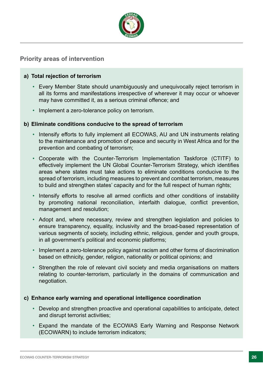

#### **Priority areas of intervention**

#### **a) Total rejection of terrorism**

- Every Member State should unambiguously and unequivocally reject terrorism in all its forms and manifestations irrespective of wherever it may occur or whoever may have committed it, as a serious criminal offence; and
- Implement a zero-tolerance policy on terrorism.

#### **b) Eliminate conditions conducive to the spread of terrorism**

- Intensify efforts to fully implement all ECOWAS, AU and UN instruments relating to the maintenance and promotion of peace and security in West Africa and for the prevention and combating of terrorism;
- Cooperate with the Counter-Terrorism Implementation Taskforce (CTITF) to effectively implement the UN Global Counter-Terrorism Strategy, which identifes areas where states must take actions to eliminate conditions conducive to the spread of terrorism, including measures to prevent and combat terrorism, measures to build and strengthen states' capacity and for the full respect of human rights;
- Intensify efforts to resolve all armed conficts and other conditions of instability by promoting national reconciliation, interfaith dialogue, confict prevention, management and resolution;
- Adopt and, where necessary, review and strengthen legislation and policies to ensure transparency, equality, inclusivity and the broad-based representation of various segments of society, including ethnic, religious, gender and youth groups, in all government's political and economic platforms;
- Implement a zero-tolerance policy against racism and other forms of discrimination based on ethnicity, gender, religion, nationality or political opinions; and
- Strengthen the role of relevant civil society and media organisations on matters relating to counter-terrorism, particularly in the domains of communication and negotiation.

#### **c) Enhance early warning and operational intelligence coordination**

- Develop and strengthen proactive and operational capabilities to anticipate, detect and disrupt terrorist activities;
- Expand the mandate of the ECOWAS Early Warning and Response Network (ECOWARN) to include terrorism indicators;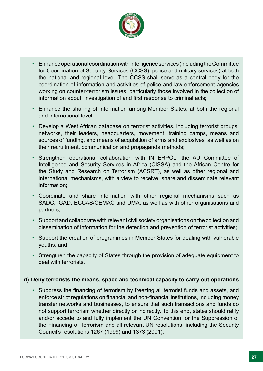

- Enhance operational coordination with intelligence services (including the Committee for Coordination of Security Services (CCSS), police and military services) at both the national and regional level. The CCSS shall serve as a central body for the coordination of information and activities of police and law enforcement agencies working on counter-terrorism issues, particularly those involved in the collection of information about, investigation of and first response to criminal acts;
- Enhance the sharing of information among Member States, at both the regional and international level;
- Develop a West African database on terrorist activities, including terrorist groups, networks, their leaders, headquarters, movement, training camps, means and sources of funding, and means of acquisition of arms and explosives, as well as on their recruitment, communication and propaganda methods;
- Strengthen operational collaboration with INTERPOL, the AU Committee of Intelligence and Security Services in Africa (CISSA) and the African Centre for the Study and Research on Terrorism (ACSRT), as well as other regional and international mechanisms, with a view to receive, share and disseminate relevant information;
- Coordinate and share information with other regional mechanisms such as SADC, IGAD, ECCAS/CEMAC and UMA, as well as with other organisations and partners;
- Support and collaborate with relevant civil society organisations on the collection and dissemination of information for the detection and prevention of terrorist activities;
- Support the creation of programmes in Member States for dealing with vulnerable youths; and
- Strengthen the capacity of States through the provision of adequate equipment to deal with terrorists.

#### **d) Deny terrorists the means, space and technical capacity to carry out operations**

• Suppress the fnancing of terrorism by freezing all terrorist funds and assets, and enforce strict regulations on fnancial and non-fnancial institutions, including money transfer networks and businesses, to ensure that such transactions and funds do not support terrorism whether directly or indirectly. To this end, states should ratify and/or accede to and fully implement the UN Convention for the Suppression of the Financing of Terrorism and all relevant UN resolutions, including the Security Council's resolutions 1267 (1999) and 1373 (2001);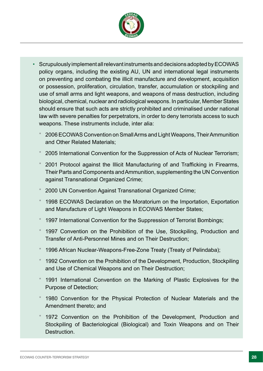

- Scrupulously implement all relevant instruments and decisions adopted by ECOWAS policy organs, including the existing AU, UN and international legal instruments on preventing and combating the illicit manufacture and development, acquisition or possession, proliferation, circulation, transfer, accumulation or stockpiling and use of small arms and light weapons, and weapons of mass destruction, including biological, chemical, nuclear and radiological weapons. In particular, Member States should ensure that such acts are strictly prohibited and criminalised under national law with severe penalties for perpetrators, in order to deny terrorists access to such weapons. These instruments include, inter alia:
	- \* 2006 ECOWAS Convention on Small Arms and Light Weapons, Their Ammunition and Other Related Materials;
	- \* 2005 International Convention for the Suppression of Acts of Nuclear Terrorism;
	- 2001 Protocol against the Illicit Manufacturing of and Trafficking in Firearms, Their Parts and Components and Ammunition, supplementing the UN Convention against Transnational Organized Crime;
	- 2000 UN Convention Against Transnational Organized Crime;
	- 1998 ECOWAS Declaration on the Moratorium on the Importation, Exportation and Manufacture of Light Weapons in ECOWAS Member States;
	- 1997 International Convention for the Suppression of Terrorist Bombings;
	- 1997 Convention on the Prohibition of the Use, Stockpiling, Production and Transfer of Anti-Personnel Mines and on Their Destruction;
	- \* 1996 African Nuclear-Weapons-Free-Zone Treaty (Treaty of Pelindaba);
	- 1992 Convention on the Prohibition of the Development, Production, Stockpiling and Use of Chemical Weapons and on Their Destruction;
	- \* 1991 International Convention on the Marking of Plastic Explosives for the Purpose of Detection;
	- \* 1980 Convention for the Physical Protection of Nuclear Materials and the Amendment thereto; and
	- 1972 Convention on the Prohibition of the Development, Production and Stockpiling of Bacteriological (Biological) and Toxin Weapons and on Their Destruction.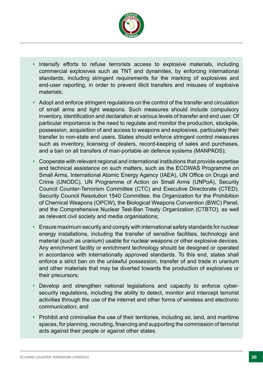

- Intensify efforts to refuse terrorists access to explosive materials, including commercial explosives such as TNT and dynamites, by enforcing international standards, including stringent requirements for the marking of explosives and end-user reporting, in order to prevent illicit transfers and misuses of explosive materials;
- Adopt and enforce stringent regulations on the control of the transfer and circulation of small arms and light weapons. Such measures should include compulsory inventory, identifcation and declaration at various levels of transfer and end user. Of particular importance is the need to regulate and monitor the production, stockpile, possession, acquisition of and access to weapons and explosives, particularly their transfer to non-state end users. States should enforce stringent control measures such as inventory, licensing of dealers, record-keeping of sales and purchases, and a ban on all transfers of man-portable air defence systems (MANPADS);
- Cooperate with relevant regional and international institutions that provide expertise and technical assistance on such matters, such as the ECOWAS Programme on Small Arms, International Atomic Energy Agency (IAEA), UN Office on Drugs and Crime (UNODC), UN Programme of Action on Small Arms (UNPoA), Security Council Counter-Terrorism Committee (CTC) and Executive Directorate (CTED), Security Council Resolution 1540 Committee, the Organization for the Prohibition of Chemical Weapons (OPCW), the Biological Weapons Convention (BWC) Panel, and the Comprehensive Nuclear Test-Ban Treaty Organization (CTBTO), as well as relevant civil society and media organisations;
- Ensure maximum security and comply with international safety standards for nuclear energy installations, including the transfer of sensitive facilities, technology and material (such as uranium) usable for nuclear weapons or other explosive devices. Any enrichment facility or enrichment technology should be designed or operated in accordance with internationally approved standards. To this end, states shall enforce a strict ban on the unlawful possession, transfer of and trade in uranium and other materials that may be diverted towards the production of explosives or their precursors;
- Develop and strengthen national legislations and capacity to enforce cybersecurity regulations, including the ability to detect, monitor and intercept terrorist activities through the use of the internet and other forms of wireless and electronic communication; and
- Prohibit and criminalise the use of their territories, including air, land, and maritime spaces, for planning, recruiting, fnancing and supporting the commission of terrorist acts against their people or against other states.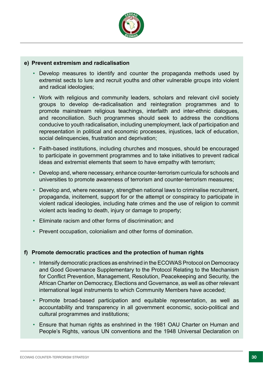

#### **e) Prevent extremism and radicalisation**

- Develop measures to identify and counter the propaganda methods used by extremist sects to lure and recruit youths and other vulnerable groups into violent and radical ideologies;
- Work with religious and community leaders, scholars and relevant civil society groups to develop de-radicalisation and reintegration programmes and to promote mainstream religious teachings, interfaith and inter-ethnic dialogues, and reconciliation. Such programmes should seek to address the conditions conducive to youth radicalisation, including unemployment, lack of participation and representation in political and economic processes, injustices, lack of education, social delinquencies, frustration and deprivation;
- Faith-based institutions, including churches and mosques, should be encouraged to participate in government programmes and to take initiatives to prevent radical ideas and extremist elements that seem to have empathy with terrorism;
- Develop and, where necessary, enhance counter-terrorism curricula for schools and universities to promote awareness of terrorism and counter-terrorism measures;
- Develop and, where necessary, strengthen national laws to criminalise recruitment, propaganda, incitement, support for or the attempt or conspiracy to participate in violent radical ideologies, including hate crimes and the use of religion to commit violent acts leading to death, injury or damage to property;
- Eliminate racism and other forms of discrimination; and
- Prevent occupation, colonialism and other forms of domination.

#### **f) Promote democratic practices and the protection of human rights**

- Intensify democratic practices as enshrined in the ECOWAS Protocol on Democracy and Good Governance Supplementary to the Protocol Relating to the Mechanism for Confict Prevention, Management, Resolution, Peacekeeping and Security, the African Charter on Democracy, Elections and Governance, as well as other relevant international legal instruments to which Community Members have acceded;
- Promote broad-based participation and equitable representation, as well as accountability and transparency in all government economic, socio-political and cultural programmes and institutions;
- Ensure that human rights as enshrined in the 1981 OAU Charter on Human and People's Rights, various UN conventions and the 1948 Universal Declaration on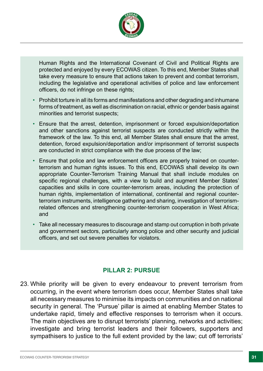

Human Rights and the International Covenant of Civil and Political Rights are protected and enjoyed by every ECOWAS citizen. To this end, Member States shall take every measure to ensure that actions taken to prevent and combat terrorism, including the legislative and operational activities of police and law enforcement officers, do not infringe on these rights;

- Prohibit torture in all its forms and manifestations and other degrading and inhumane forms of treatment, as well as discrimination on racial, ethnic or gender basis against minorities and terrorist suspects;
- Ensure that the arrest, detention, imprisonment or forced expulsion/deportation and other sanctions against terrorist suspects are conducted strictly within the framework of the law. To this end, all Member States shall ensure that the arrest, detention, forced expulsion/deportation and/or imprisonment of terrorist suspects are conducted in strict compliance with the due process of the law;
- Ensure that police and law enforcement officers are properly trained on counterterrorism and human rights issues. To this end, ECOWAS shall develop its own appropriate Counter-Terrorism Training Manual that shall include modules on specific regional challenges, with a view to build and augment Member States' capacities and skills in core counter-terrorism areas, including the protection of human rights, implementation of international, continental and regional counterterrorism instruments, intelligence gathering and sharing, investigation of terrorismrelated offences and strengthening counter-terrorism cooperation in West Africa; and
- Take all necessary measures to discourage and stamp out corruption in both private and government sectors, particularly among police and other security and judicial officers, and set out severe penalties for violators.

### **PILLAR 2: PURSUE**

23. While priority will be given to every endeavour to prevent terrorism from occurring, in the event where terrorism does occur, Member States shall take all necessary measures to minimise its impacts on communities and on national security in general. The 'Pursue' pillar is aimed at enabling Member States to undertake rapid, timely and effective responses to terrorism when it occurs. The main objectives are to disrupt terrorists' planning, networks and activities; investigate and bring terrorist leaders and their followers, supporters and sympathisers to justice to the full extent provided by the law; cut off terrorists'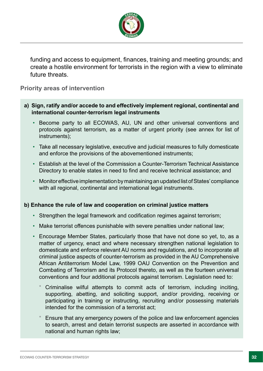

funding and access to equipment, fnances, training and meeting grounds; and create a hostile environment for terrorists in the region with a view to eliminate future threats.

#### **Priority areas of intervention**

- **a) Sign, ratify and/or accede to and effectively implement regional, continental and international counter-terrorism legal instruments**
	- Become party to all ECOWAS, AU, UN and other universal conventions and protocols against terrorism, as a matter of urgent priority (see annex for list of instruments);
	- Take all necessary legislative, executive and judicial measures to fully domesticate and enforce the provisions of the abovementioned instruments;
	- Establish at the level of the Commission a Counter-Terrorism Technical Assistance Directory to enable states in need to fnd and receive technical assistance; and
	- Monitor effective implementation by maintaining an updated list of States' compliance with all regional, continental and international legal instruments.

#### **b) Enhance the rule of law and cooperation on criminal justice matters**

- Strengthen the legal framework and codifcation regimes against terrorism;
- Make terrorist offences punishable with severe penalties under national law;
- Encourage Member States, particularly those that have not done so yet, to, as a matter of urgency, enact and where necessary strengthen national legislation to domesticate and enforce relevant AU norms and regulations, and to incorporate all criminal justice aspects of counter-terrorism as provided in the AU Comprehensive African Antiterrorism Model Law, 1999 OAU Convention on the Prevention and Combating of Terrorism and its Protocol thereto, as well as the fourteen universal conventions and four additional protocols against terrorism. Legislation need to:
	- Criminalise wilful attempts to commit acts of terrorism, including inciting, supporting, abetting, and soliciting support, and/or providing, receiving or participating in training or instructing, recruiting and/or possessing materials intended for the commission of a terrorist act;
	- Ensure that any emergency powers of the police and law enforcement agencies to search, arrest and detain terrorist suspects are asserted in accordance with national and human rights law;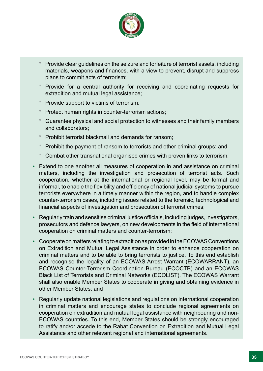

- Provide clear guidelines on the seizure and forfeiture of terrorist assets, including materials, weapons and finances, with a view to prevent, disrupt and suppress plans to commit acts of terrorism;
- Provide for a central authority for receiving and coordinating requests for extradition and mutual legal assistance;
- Provide support to victims of terrorism;
- Protect human rights in counter-terrorism actions;
- Guarantee physical and social protection to witnesses and their family members and collaborators;
- Prohibit terrorist blackmail and demands for ransom:
- Prohibit the payment of ransom to terrorists and other criminal groups; and
- Combat other transnational organised crimes with proven links to terrorism.
- Extend to one another all measures of cooperation in and assistance on criminal matters, including the investigation and prosecution of terrorist acts. Such cooperation, whether at the international or regional level, may be formal and informal, to enable the flexibility and efficiency of national judicial systems to pursue terrorists everywhere in a timely manner within the region, and to handle complex counter-terrorism cases, including issues related to the forensic, technological and fnancial aspects of investigation and prosecution of terrorist crimes;
- Regularly train and sensitise criminal justice officials, including judges, investigators, prosecutors and defence lawyers, on new developments in the feld of international cooperation on criminal matters and counter-terrorism;
- Cooperate on matters relating to extradition as provided in the ECOWAS Conventions on Extradition and Mutual Legal Assistance in order to enhance cooperation on criminal matters and to be able to bring terrorists to justice. To this end establish and recognise the legality of an ECOWAS Arrest Warrant (ECOWARRANT), an ECOWAS Counter-Terrorism Coordination Bureau (ECOCTB) and an ECOWAS Black List of Terrorists and Criminal Networks (ECOLIST). The ECOWAS Warrant shall also enable Member States to cooperate in giving and obtaining evidence in other Member States; and
- Regularly update national legislations and regulations on international cooperation in criminal matters and encourage states to conclude regional agreements on cooperation on extradition and mutual legal assistance with neighbouring and non-ECOWAS countries. To this end, Member States should be strongly encouraged to ratify and/or accede to the Rabat Convention on Extradition and Mutual Legal Assistance and other relevant regional and international agreements.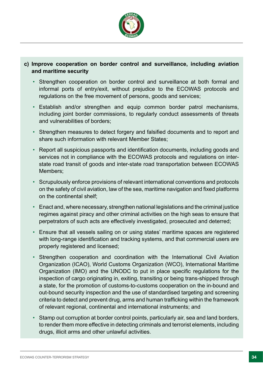

#### **c) Improve cooperation on border control and surveillance, including aviation and maritime security**

- Strengthen cooperation on border control and surveillance at both formal and informal ports of entry/exit, without prejudice to the ECOWAS protocols and regulations on the free movement of persons, goods and services;
- Establish and/or strengthen and equip common border patrol mechanisms, including joint border commissions, to regularly conduct assessments of threats and vulnerabilities of borders;
- Strengthen measures to detect forgery and falsifed documents and to report and share such information with relevant Member States;
- Report all suspicious passports and identifcation documents, including goods and services not in compliance with the ECOWAS protocols and regulations on interstate road transit of goods and inter-state road transportation between ECOWAS Members;
- Scrupulously enforce provisions of relevant international conventions and protocols on the safety of civil aviation, law of the sea, maritime navigation and fxed platforms on the continental shelf;
- Enact and, where necessary, strengthen national legislations and the criminal justice regimes against piracy and other criminal activities on the high seas to ensure that perpetrators of such acts are effectively investigated, prosecuted and deterred;
- Ensure that all vessels sailing on or using states' maritime spaces are registered with long-range identification and tracking systems, and that commercial users are properly registered and licensed;
- Strengthen cooperation and coordination with the International Civil Aviation Organization (ICAO), World Customs Organization (WCO), International Maritime Organization (IMO) and the UNODC to put in place specifc regulations for the inspection of cargo originating in, exiting, transiting or being trans-shipped through a state, for the promotion of customs-to-customs cooperation on the in-bound and out-bound security inspection and the use of standardised targeting and screening criteria to detect and prevent drug, arms and human traffcking within the framework of relevant regional, continental and international instruments; and
- Stamp out corruption at border control points, particularly air, sea and land borders, to render them more effective in detecting criminals and terrorist elements, including drugs, illicit arms and other unlawful activities.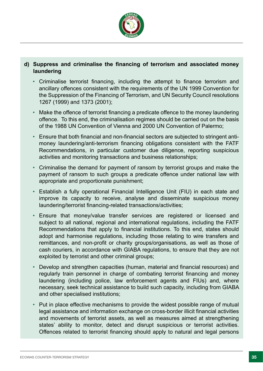

#### **d) Suppress and criminalise the fnancing of terrorism and associated money laundering**

- Criminalise terrorist financing, including the attempt to finance terrorism and ancillary offences consistent with the requirements of the UN 1999 Convention for the Suppression of the Financing of Terrorism, and UN Security Council resolutions 1267 (1999) and 1373 (2001);
- Make the offence of terrorist financing a predicate offence to the money laundering offence. To this end, the criminalisation regimes should be carried out on the basis of the 1988 UN Convention of Vienna and 2000 UN Convention of Palermo;
- Ensure that both fnancial and non-fnancial sectors are subjected to stringent antimoney laundering/anti-terrorism financing obligations consistent with the FATF Recommendations, in particular customer due diligence, reporting suspicious activities and monitoring transactions and business relationships;
- Criminalise the demand for payment of ransom by terrorist groups and make the payment of ransom to such groups a predicate offence under national law with appropriate and proportionate punishment;
- Establish a fully operational Financial Intelligence Unit (FIU) in each state and improve its capacity to receive, analyse and disseminate suspicious money laundering/terrorist fnancing-related transactions/activities;
- Ensure that money/value transfer services are registered or licensed and subject to all national, regional and international regulations, including the FATF Recommendations that apply to fnancial institutions. To this end, states should adopt and harmonise regulations, including those relating to wire transfers and remittances, and non-profit or charity groups/organisations, as well as those of cash couriers, in accordance with GIABA regulations, to ensure that they are not exploited by terrorist and other criminal groups;
- Develop and strengthen capacities (human, material and fnancial resources) and regularly train personnel in charge of combating terrorist fnancing and money laundering (including police, law enforcement agents and FIUs) and, where necessary, seek technical assistance to build such capacity, including from GIABA and other specialised institutions;
- Put in place effective mechanisms to provide the widest possible range of mutual legal assistance and information exchange on cross-border illicit fnancial activities and movements of terrorist assets, as well as measures aimed at strengthening states' ability to monitor, detect and disrupt suspicious or terrorist activities. Offences related to terrorist fnancing should apply to natural and legal persons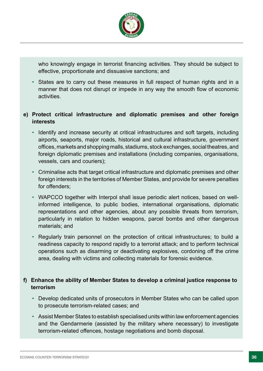

who knowingly engage in terrorist financing activities. They should be subject to effective, proportionate and dissuasive sanctions; and

• States are to carry out these measures in full respect of human rights and in a manner that does not disrupt or impede in any way the smooth flow of economic activities.

#### **e) Protect critical infrastructure and diplomatic premises and other foreign interests**

- Identify and increase security at critical infrastructures and soft targets, including airports, seaports, major roads, historical and cultural infrastructure, government offices, markets and shopping malls, stadiums, stock exchanges, social theatres, and foreign diplomatic premises and installations (including companies, organisations, vessels, cars and couriers);
- Criminalise acts that target critical infrastructure and diplomatic premises and other foreign interests in the territories of Member States, and provide for severe penalties for offenders;
- WAPCCO together with Interpol shall issue periodic alert notices, based on wellinformed intelligence, to public bodies, international organisations, diplomatic representations and other agencies, about any possible threats from terrorism, particularly in relation to hidden weapons, parcel bombs and other dangerous materials; and
- Regularly train personnel on the protection of critical infrastructures; to build a readiness capacity to respond rapidly to a terrorist attack; and to perform technical operations such as disarming or deactivating explosives, cordoning off the crime area, dealing with victims and collecting materials for forensic evidence.

#### **f) Enhance the ability of Member States to develop a criminal justice response to terrorism**

- Develop dedicated units of prosecutors in Member States who can be called upon to prosecute terrorism-related cases; and
- Assist Member States to establish specialised units within law enforcement agencies and the Gendarmerie (assisted by the military where necessary) to investigate terrorism-related offences, hostage negotiations and bomb disposal.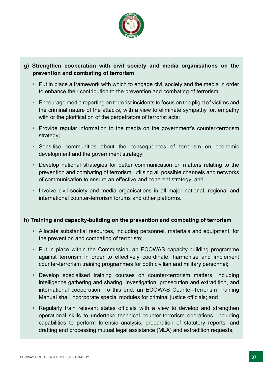

#### **g) Strengthen cooperation with civil society and media organisations on the prevention and combating of terrorism**

- Put in place a framework with which to engage civil society and the media in order to enhance their contribution to the prevention and combating of terrorism;
- Encourage media reporting on terrorist incidents to focus on the plight of victims and the criminal nature of the attacks, with a view to eliminate sympathy for, empathy with or the glorification of the perpetrators of terrorist acts;
- Provide regular information to the media on the government's counter-terrorism strategy;
- Sensitise communities about the consequences of terrorism on economic development and the government strategy;
- Develop national strategies for better communication on matters relating to the prevention and combating of terrorism, utilising all possible channels and networks of communication to ensure an effective and coherent strategy; and
- Involve civil society and media organisations in all major national, regional and international counter-terrorism forums and other platforms.

#### **h) Training and capacity-building on the prevention and combating of terrorism**

- Allocate substantial resources, including personnel, materials and equipment, for the prevention and combating of terrorism;
- Put in place within the Commission, an ECOWAS capacity-building programme against terrorism in order to effectively coordinate, harmonise and implement counter-terrorism training programmes for both civilian and military personnel;
- Develop specialised training courses on counter-terrorism matters, including intelligence gathering and sharing, investigation, prosecution and extradition, and international cooperation. To this end, an ECOWAS Counter-Terrorism Training Manual shall incorporate special modules for criminal justice officials; and
- Regularly train relevant states officials with a view to develop and strengthen operational skills to undertake technical counter-terrorism operations, including capabilities to perform forensic analysis, preparation of statutory reports, and drafting and processing mutual legal assistance (MLA) and extradition requests.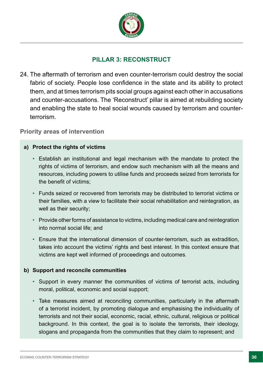

# **PILLAR 3: RECONSTRUCT**

24. The aftermath of terrorism and even counter-terrorism could destroy the social fabric of society. People lose confidence in the state and its ability to protect them, and at times terrorism pits social groups against each other in accusations and counter-accusations. The 'Reconstruct' pillar is aimed at rebuilding society and enabling the state to heal social wounds caused by terrorism and counterterrorism.

**Priority areas of intervention**

#### **a) Protect the rights of victims**

- Establish an institutional and legal mechanism with the mandate to protect the rights of victims of terrorism, and endow such mechanism with all the means and resources, including powers to utilise funds and proceeds seized from terrorists for the benefit of victims:
- Funds seized or recovered from terrorists may be distributed to terrorist victims or their families, with a view to facilitate their social rehabilitation and reintegration, as well as their security;
- Provide other forms of assistance to victims, including medical care and reintegration into normal social life; and
- Ensure that the international dimension of counter-terrorism, such as extradition, takes into account the victims' rights and best interest. In this context ensure that victims are kept well informed of proceedings and outcomes.

#### **b) Support and reconcile communities**

- Support in every manner the communities of victims of terrorist acts, including moral, political, economic and social support;
- Take measures aimed at reconciling communities, particularly in the aftermath of a terrorist incident, by promoting dialogue and emphasising the individuality of terrorists and not their social, economic, racial, ethnic, cultural, religious or political background. In this context, the goal is to isolate the terrorists, their ideology, slogans and propaganda from the communities that they claim to represent; and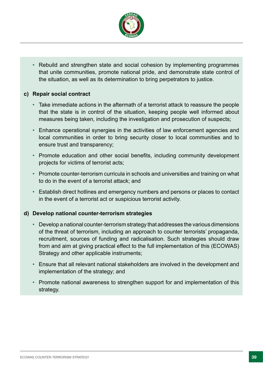

• Rebuild and strengthen state and social cohesion by implementing programmes that unite communities, promote national pride, and demonstrate state control of the situation, as well as its determination to bring perpetrators to justice.

#### **c) Repair social contract**

- Take immediate actions in the aftermath of a terrorist attack to reassure the people that the state is in control of the situation, keeping people well informed about measures being taken, including the investigation and prosecution of suspects;
- Enhance operational synergies in the activities of law enforcement agencies and local communities in order to bring security closer to local communities and to ensure trust and transparency;
- Promote education and other social benefits, including community development projects for victims of terrorist acts;
- Promote counter-terrorism curricula in schools and universities and training on what to do in the event of a terrorist attack; and
- Establish direct hotlines and emergency numbers and persons or places to contact in the event of a terrorist act or suspicious terrorist activity.

#### **d) Develop national counter-terrorism strategies**

- Develop a national counter-terrorism strategy that addresses the various dimensions of the threat of terrorism, including an approach to counter terrorists' propaganda, recruitment, sources of funding and radicalisation. Such strategies should draw from and aim at giving practical effect to the full implementation of this (ECOWAS) Strategy and other applicable instruments;
- Ensure that all relevant national stakeholders are involved in the development and implementation of the strategy; and
- Promote national awareness to strengthen support for and implementation of this strategy.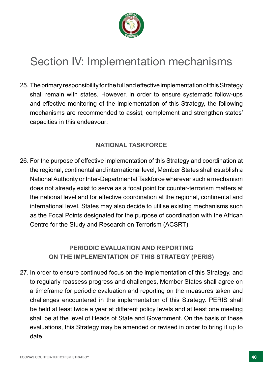

# Section IV: Implementation mechanisms

25. The primary responsibility for the full and effective implementation of this Strategy shall remain with states. However, in order to ensure systematic follow-ups and effective monitoring of the implementation of this Strategy, the following mechanisms are recommended to assist, complement and strengthen states' capacities in this endeavour:

# **NATIONAL TASKFORCE**

26. For the purpose of effective implementation of this Strategy and coordination at the regional, continental and international level, Member States shall establish a National Authority or Inter-Departmental Taskforce wherever such a mechanism does not already exist to serve as a focal point for counter-terrorism matters at the national level and for effective coordination at the regional, continental and international level. States may also decide to utilise existing mechanisms such as the Focal Points designated for the purpose of coordination with the African Centre for the Study and Research on Terrorism (ACSRT).

# **PERIODIC EVALUATION AND REPORTING ON THE IMPLEMENTATION OF THIS STRATEGY (PERIS)**

27. In order to ensure continued focus on the implementation of this Strategy, and to regularly reassess progress and challenges, Member States shall agree on a timeframe for periodic evaluation and reporting on the measures taken and challenges encountered in the implementation of this Strategy. PERIS shall be held at least twice a year at different policy levels and at least one meeting shall be at the level of Heads of State and Government. On the basis of these evaluations, this Strategy may be amended or revised in order to bring it up to date.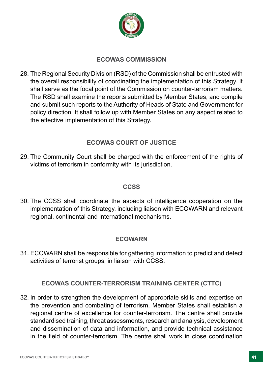

# **ECOWAS COMMISSION**

28. The Regional Security Division (RSD) of the Commission shall be entrusted with the overall responsibility of coordinating the implementation of this Strategy. It shall serve as the focal point of the Commission on counter-terrorism matters. The RSD shall examine the reports submitted by Member States, and compile and submit such reports to the Authority of Heads of State and Government for policy direction. It shall follow up with Member States on any aspect related to the effective implementation of this Strategy.

# **ECOWAS COURT OF JUSTICE**

29. The Community Court shall be charged with the enforcement of the rights of victims of terrorism in conformity with its jurisdiction.

### **CCSS**

30. The CCSS shall coordinate the aspects of intelligence cooperation on the implementation of this Strategy, including liaison with ECOWARN and relevant regional, continental and international mechanisms.

### **ECOWARN**

31. ECOWARN shall be responsible for gathering information to predict and detect activities of terrorist groups, in liaison with CCSS.

### **ECOWAS COUNTER-TERRORISM TRAINING CENTER (CTTC)**

32. In order to strengthen the development of appropriate skills and expertise on the prevention and combating of terrorism, Member States shall establish a regional centre of excellence for counter-terrorism. The centre shall provide standardised training, threat assessments, research and analysis, development and dissemination of data and information, and provide technical assistance in the feld of counter-terrorism. The centre shall work in close coordination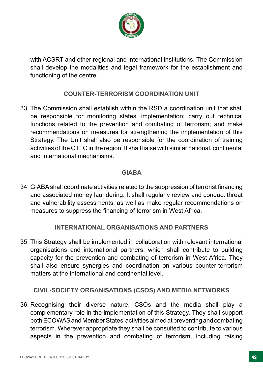

with ACSRT and other regional and international institutions. The Commission shall develop the modalities and legal framework for the establishment and functioning of the centre.

### **COUNTER-TERRORISM COORDINATION UNIT**

33. The Commission shall establish within the RSD a coordination unit that shall be responsible for monitoring states' implementation; carry out technical functions related to the prevention and combating of terrorism; and make recommendations on measures for strengthening the implementation of this Strategy. The Unit shall also be responsible for the coordination of training activities of the CTTC in the region. It shall liaise with similar national, continental and international mechanisms.

# **GIABA**

34. GIABA shall coordinate activities related to the suppression of terrorist fnancing and associated money laundering. It shall regularly review and conduct threat and vulnerability assessments, as well as make regular recommendations on measures to suppress the fnancing of terrorism in West Africa.

### **INTERNATIONAL ORGANISATIONS AND PARTNERS**

35. This Strategy shall be implemented in collaboration with relevant international organisations and international partners, which shall contribute to building capacity for the prevention and combating of terrorism in West Africa. They shall also ensure synergies and coordination on various counter-terrorism matters at the international and continental level.

# **CIVIL-SOCIETY ORGANISATIONS (CSOS) AND MEDIA NETWORKS**

36. Recognising their diverse nature, CSOs and the media shall play a complementary role in the implementation of this Strategy. They shall support both ECOWAS and Member States' activities aimed at preventing and combating terrorism. Wherever appropriate they shall be consulted to contribute to various aspects in the prevention and combating of terrorism, including raising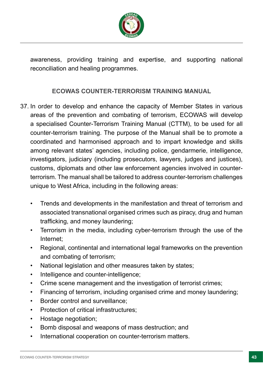

awareness, providing training and expertise, and supporting national reconciliation and healing programmes.

# **ECOWAS COUNTER-TERRORISM TRAINING MANUAL**

- 37. In order to develop and enhance the capacity of Member States in various areas of the prevention and combating of terrorism, ECOWAS will develop a specialised Counter-Terrorism Training Manual (CTTM), to be used for all counter-terrorism training. The purpose of the Manual shall be to promote a coordinated and harmonised approach and to impart knowledge and skills among relevant states' agencies, including police, gendarmerie, intelligence, investigators, judiciary (including prosecutors, lawyers, judges and justices), customs, diplomats and other law enforcement agencies involved in counterterrorism. The manual shall be tailored to address counter-terrorism challenges unique to West Africa, including in the following areas:
	- Trends and developments in the manifestation and threat of terrorism and associated transnational organised crimes such as piracy, drug and human trafficking, and money laundering;
	- Terrorism in the media, including cyber-terrorism through the use of the Internet;
	- Regional, continental and international legal frameworks on the prevention and combating of terrorism;
	- National legislation and other measures taken by states;
	- Intelligence and counter-intelligence;
	- Crime scene management and the investigation of terrorist crimes;
	- Financing of terrorism, including organised crime and money laundering;
	- Border control and surveillance;
	- Protection of critical infrastructures;
	- Hostage negotiation;
	- Bomb disposal and weapons of mass destruction; and
	- International cooperation on counter-terrorism matters.